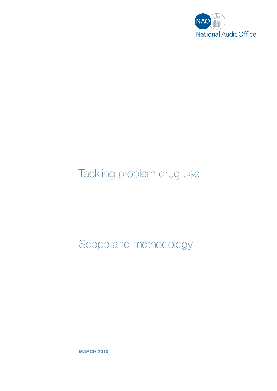

# Tackling problem drug use

Scope and methodology

**MARCH 2010**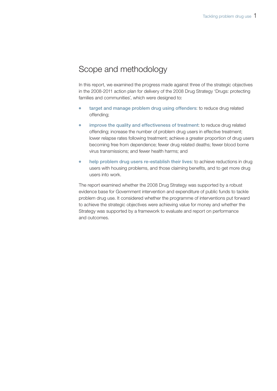## Scope and methodology

In this report, we examined the progress made against three of the strategic objectives in the 2008-2011 action plan for delivery of the 2008 Drug Strategy 'Drugs: protecting families and communities', which were designed to:

- **target and manage problem drug using offenders**: to reduce drug related offending;
- **improve the quality and effectiveness of treatment**: to reduce drug related offending; increase the number of problem drug users in effective treatment; lower relapse rates following treatment; achieve a greater proportion of drug users becoming free from dependence; fewer drug related deaths; fewer blood borne virus transmissions; and fewer health harms; and
- help problem drug users re-establish their lives: to achieve reductions in drug users with housing problems, and those claiming benefits, and to get more drug users into work.

The report examined whether the 2008 Drug Strategy was supported by a robust evidence base for Government intervention and expenditure of public funds to tackle problem drug use. It considered whether the programme of interventions put forward to achieve the strategic objectives were achieving value for money and whether the Strategy was supported by a framework to evaluate and report on performance and outcomes.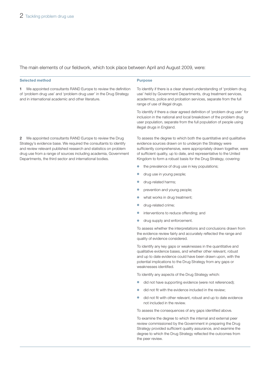## The main elements of our fieldwork, which took place between April and August 2009, were:

## **Selected method Purpose**

**1** We appointed consultants RAND Europe to review the definition of 'problem drug use' and 'problem drug user' in the Drug Strategy and in international academic and other literature.

**2** We appointed consultants RAND Europe to review the Drug Strategy's evidence base. We required the consultants to identify and review relevant published research and statistics on problem drug use from a range of sources including academia, Government Departments, the third sector and international bodies.

To identify if there is a clear shared understanding of 'problem drug use' held by Government Departments, drug treatment services, academics, police and probation services, separate from the full range of use of illegal drugs.

To identify if there a clear agreed definition of 'problem drug user' for inclusion in the national and local breakdown of the problem drug user population, separate from the full population of people using illegal drugs in England.

To assess the degree to which both the quantitative and qualitative evidence sources drawn on to underpin the Strategy were sufficiently comprehensive, were appropriately drawn together, were of sufficient quality, up to date, and representative to the United Kingdom to form a robust basis for the Drug Strategy, covering:

- the prevalence of drug use in key populations;
- drug use in young people;
- drug-related harms;
- prevention and young people;
- what works in drug treatment;
- drug-related crime;
- interventions to reduce offending: and
- drug supply and enforcement.

To assess whether the interpretations and conclusions drawn from the evidence review fairly and accurately reflected the range and quality of evidence considered.

To identify any key gaps or weaknesses in the quantitative and qualitative evidence bases, and whether other relevant, robust and up to date evidence could have been drawn upon, with the potential implications to the Drug Strategy from any gaps or weaknesses identified.

To identify any aspects of the Drug Strategy which:

- did not have supporting evidence (were not referenced);
- did not fit with the evidence included in the review;
- did not fit with other relevant, robust and up to date evidence not included in the review.

To assess the consequences of any gaps identified above.

To examine the degree to which the internal and external peer review commissioned by the Government in preparing the Drug Strategy provided sufficient quality assurance, and examine the degree to which the Drug Strategy reflected the outcomes from the peer review.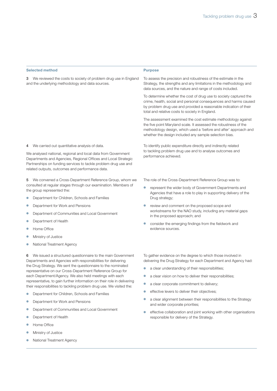|  | <b>Selected method</b> |
|--|------------------------|

#### **Purpose**

**3** We reviewed the costs to society of problem drug use in England and the underlying methodology and data sources.

**4** We carried out quantitative analysis of data.

We analysed national, regional and local data from Government Departments and Agencies, Regional Offices and Local Strategic Partnerships on funding services to tackle problem drug use and related outputs, outcomes and performance data.

**5** We convened a Cross-Department Reference Group, whom we consulted at regular stages through our examination. Members of the group represented the:

- Department for Children, Schools and Families
- Department for Work and Pensions
- Department of Communities and Local Government
- Department of Health
- **Home Office**
- **Ministry of Justice**
- **National Treatment Agency**

**6** We issued a structured questionnaire to the main Government Departments and Agencies with responsibilities for delivering the Drug Strategy. We sent the questionnaire to the nominated representative on our Cross-Department Reference Group for each Department/Agency. We also held meetings with each representative, to gain further information on their role in delivering their responsibilities to tackling problem drug use. We visited the:

- Department for Children, Schools and Families
- Department for Work and Pensions
- Department of Communities and Local Government
- Department of Health
- **Home Office**
- **Ministry of Justice**
- **National Treatment Agency**

To assess the precision and robustness of the estimate in the Strategy, the strengths and any limitations in the methodology and data sources, and the nature and range of costs included.

To determine whether the cost of drug use to society captured the crime, health, social and personal consequences and harms caused by problem drug use and provided a reasonable indication of their total and relative costs to society in England.

The assessment examined the cost estimate methodology against the five point Maryland scale. It assessed the robustness of the methodology design, which used a 'before and after' approach and whether the design included any sample selection bias.

To identify public expenditure directly and indirectly related to tackling problem drug use and to analyse outcomes and performance achieved.

The role of the Cross-Department Reference Group was to:

- represent the wider body of Government Departments and Agencies that have a role to play in supporting delivery of the Drug strategy;
- review and comment on the proposed scope and workstreams for the NAO study, including any material gaps in the proposed approach; and
- consider the emerging findings from the fieldwork and evidence sources.

To gather evidence on the degree to which those involved in delivering the Drug Strategy for each Department and Agency had:

- a clear understanding of their responsibilities;
- a clear vision on how to deliver their responsibilities;
- a clear corporate commitment to delivery;
- effective levers to deliver their objectives;
- a clear alignment between their responsibilities to the Strategy and wider corporate priorities;
- effective collaboration and joint working with other organisations responsible for delivery of the Strategy.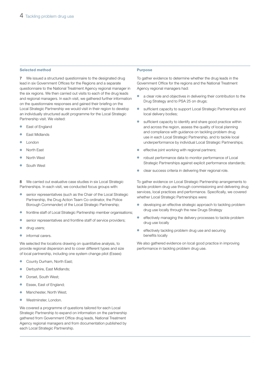### **Selected method Purpose**

**7** We issued a structured questionnaire to the designated drug lead in six Government Offices for the Regions and a separate questionnaire to the National Treatment Agency regional manager in the six regions. We then carried out visits to each of the drug leads and regional managers. In each visit, we gathered further information on the questionnaire responses and gained their briefing on the Local Strategic Partnership we would visit in their region to develop an individually structured audit programme for the Local Strategic Partnership visit. We visited:

- East of England
- East Midlands
- London
- **North East**
- North West
- South West

**8** We carried out evaluative case studies in six Local Strategic Partnerships. In each visit, we conducted focus groups with:

- senior representatives (such as the Chair of the Local Strategic Partnership, the Drug Action Team Co-ordinator, the Police Borough Commander) of the Local Strategic Partnership;
- frontline staff of Local Strategic Partnership member organisations:
- senior representatives and frontline staff of service providers;
- **•** drug users;
- informal carers.

We selected the locations drawing on quantitative analysis, to provide regional dispersion and to cover different types and size of local partnership, including one system change pilot (Essex):

- County Durham, North East;
- Derbyshire, East Midlands;
- Dorset, South West;
- Essex, East of England;
- Manchester, North West;
- Westminster, London.

We covered a programme of questions tailored for each Local Strategic Partnership to expand on information on the partnership gathered from Government Office drug leads, National Treatment Agency regional managers and from documentation published by each Local Strategic Partnership.

To gather evidence to determine whether the drug leads in the Government Office for the regions and the National Treatment Agency regional managers had:

- a clear role and objectives in delivering their contribution to the Drug Strategy and to PSA 25 on drugs;
- sufficient capacity to support Local Strategic Partnerships and local delivery bodies;
- sufficient capacity to identify and share good practice within and across the region, assess the quality of local planning and compliance with guidance on tackling problem drug use in each Local Strategic Partnership, and to tackle local underperformance by individual Local Strategic Partnerships;
- effective joint working with regional partners;
- robust performance data to monitor performance of Local Strategic Partnerships against explicit performance standards;
- clear success criteria in delivering their regional role.

To gather evidence on Local Strategic Partnership arrangements to tackle problem drug use through commissioning and delivering drug services, local practices and performance. Specifically, we covered whether Local Strategic Partnerships were:

- developing an effective strategic approach to tackling problem drug use locally through the new Drugs Strategy
- effectively managing the delivery processes to tackle problem drug use locally
- effectively tackling problem drug use and securing benefits locally

We also gathered evidence on local good practice in improving performance in tackling problem drug use.